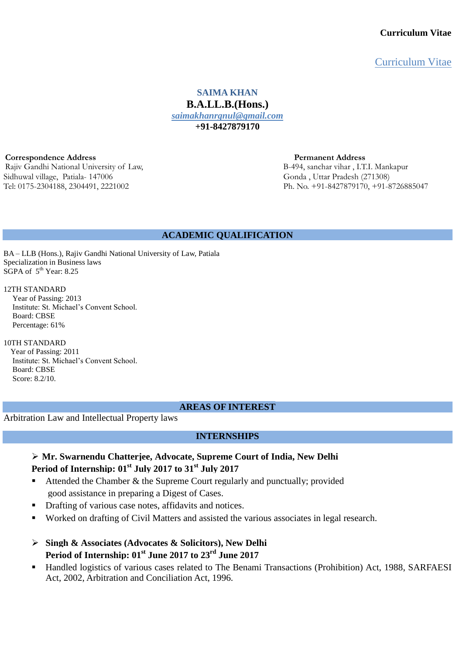Curriculum Vitae

**SAIMA KHAN B.A.LL.B.(Hons.)** *saimakhanrgnul@gmail.com* **+91-8427879170**

**Correspondence Address**<br> **Rajiy Gandhi National University of Law,**<br> **Rajiy Gandhi National University of Law,**<br> **Permanent Address**<br> **B-494, sanchar vihar**, I.T.I. Mankapur Rajiv Gandhi National University of Law, Sidhuwal village, Patiala- 147006 Gonda , Uttar Pradesh (271308) Tel: 0175-2304188, 2304491, 2221002 Ph. No. +91-8427879170, +91-8726885047

### **ACADEMIC QUALIFICATION**

BA – LLB (Hons.), Rajiv Gandhi National University of Law, Patiala Specialization in Business laws  $SGPA$  of  $5<sup>th</sup>$  Year: 8.25

#### 12TH STANDARD

Year of Passing: 2013 Institute: St. Michael's Convent School. Board: CBSE Percentage: 61%

#### 10TH STANDARD

Year of Passing: 2011 Institute: St. Michael's Convent School. Board: CBSE Score: 8.2/10.

### **AREAS OF INTEREST**

Arbitration Law and Intellectual Property laws

### **INTERNSHIPS**

## **Mr. Swarnendu Chatterjee, Advocate, Supreme Court of India, New Delhi Period of Internship: 01 st July 2017 to 31st July 2017**

- Attended the Chamber & the Supreme Court regularly and punctually; provided good assistance in preparing a Digest of Cases.
- Drafting of various case notes, affidavits and notices.
- Worked on drafting of Civil Matters and assisted the various associates in legal research.
- **Singh & Associates (Advocates & Solicitors), New Delhi Period of Internship: 01 st June 2017 to 23rd June 2017**
- Handled logistics of various cases related to [The Benami Transactions \(Prohibition\) Act, 1988,](https://dea.gov.in/sites/default/files/Benami%20Transaction_Prohibition_%20Act1988.pdf) [SARFAESI](https://blog.ipleaders.in/sarfaesi-2002/)  [Act, 2002,](https://blog.ipleaders.in/sarfaesi-2002/) Arbitration and Conciliation Act, 1996.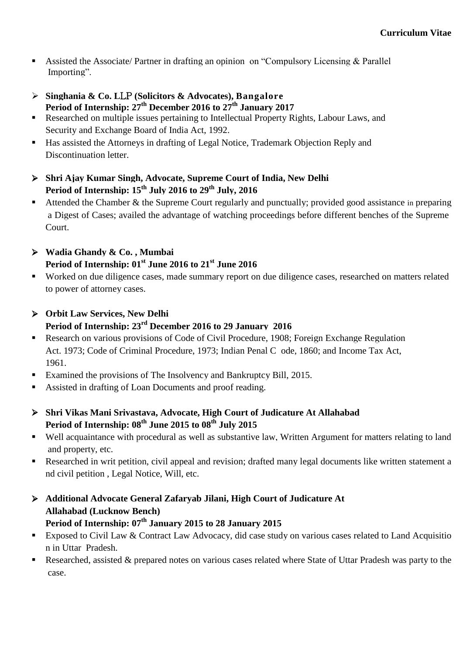- Assisted the Associate/ Partner in drafting an opinion on "Compulsory Licensing & Parallel Importing".
- **Singhania & Co. L**LP **(Solicitors & Advocates), Bangalore Period of Internship: 27th December 2016 to 27th January 2017**
- Researched on multiple issues pertaining to Intellectual Property Rights, Labour Laws, and Security and Exchange Board of India Act, 1992.
- Has assisted the Attorneys in drafting of Legal Notice, Trademark Objection Reply and Discontinuation letter.
- **Shri Ajay Kumar Singh, Advocate, Supreme Court of India, New Delhi Period of Internship: 15th July 2016 to 29th July, 2016**
- Attended the Chamber & the Supreme Court regularly and punctually; provided good assistance in preparing a Digest of Cases; availed the advantage of watching proceedings before different benches of the Supreme Court.
- **Wadia Ghandy & Co. , Mumbai Period of Internship: 01 st June 2016 to 21st June 2016**
- Worked on due diligence cases, made summary report on due diligence cases, researched on matters related to power of attorney cases.
- **Orbit Law Services, New Delhi Period of Internship: 23rd December 2016 to 29 January 2016**
- Research on various provisions of Code of Civil Procedure, 1908; Foreign Exchange Regulation Act. 1973; Code of Criminal Procedure, 1973; Indian Penal C ode, 1860; and Income Tax Act, 1961.
- Examined the provisions of The Insolvency and Bankruptcy Bill, 2015.
- Assisted in drafting of Loan Documents and proof reading.
- **Shri Vikas Mani Srivastava, Advocate, High Court of Judicature At Allahabad Period of Internship: 08 th June 2015 to 08 th July 2015**
- Well acquaintance with procedural as well as substantive law, Written Argument for matters relating to land and property, etc.
- Researched in writ petition, civil appeal and revision; drafted many legal documents like written statement a nd civil petition , Legal Notice, Will, etc.
- **Additional Advocate General Zafaryab Jilani, High Court of Judicature At Allahabad (Lucknow Bench) Period of Internship: 07 th January 2015 to 28 January 2015**
- **Exposed to Civil Law & Contract Law Advocacy, did case study on various cases related to Land Acquisitio** n in Uttar Pradesh.
- Researched, assisted & prepared notes on various cases related where State of Uttar Pradesh was party to the case.